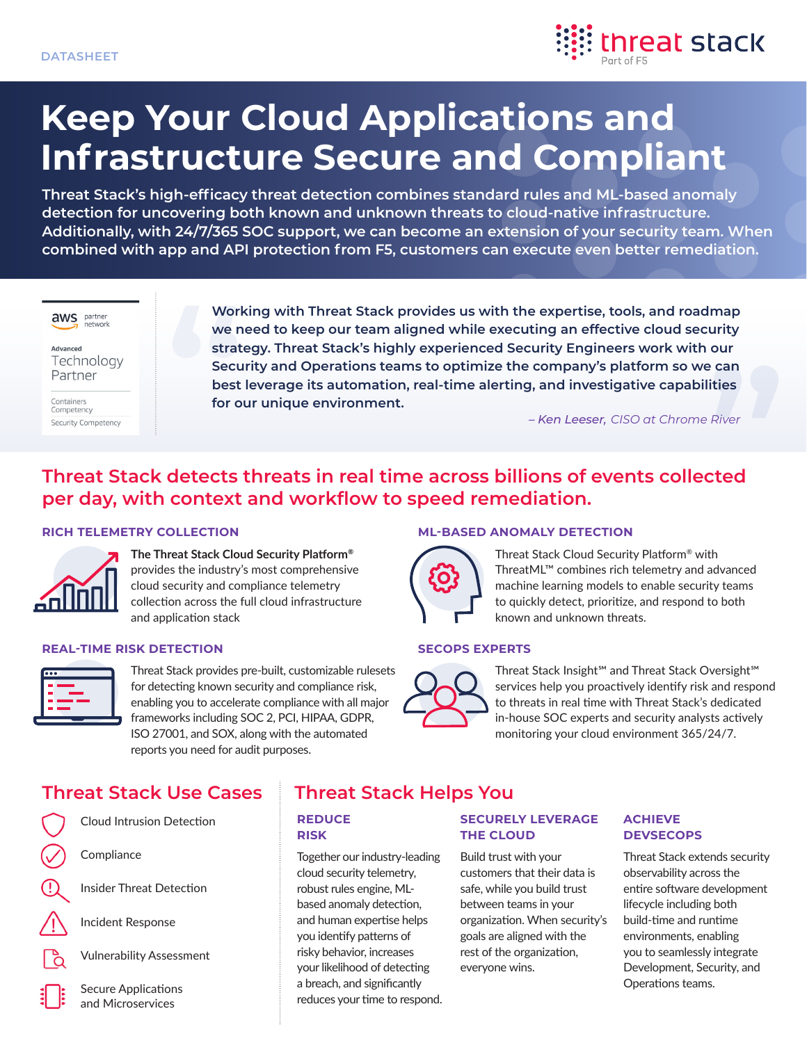

# **Keep Your Cloud Applications and Infrastructure Secure and Compliant**

**Threat Stack's high-efficacy threat detection combines standard rules and ML-based anomaly detection for uncovering both known and unknown threats to cloud-native infrastructure. Additionally, with 24/7/365 SOC support, we can become an extension of your security team. When combined with app and API protection from F5, customers can execute even better remediation.**



Advanced Technology Partner

Containers Competency Security Competency **Working with Threat Stack provides us with the expertise, tools, and roadmap we need to keep our team aligned while executing an effective cloud security strategy. Threat Stack's highly experienced Security Engineers work with our Security and Operations teams to optimize the company's platform so we can best leverage its automation, real-time alerting, and investigative capabilities for our unique environment.**

*– Ken Leeser, CISO at Chrome River*

# **Threat Stack detects threats in real time across billions of events collected per day, with context and workflow to speed remediation.**

# **RICH TELEMETRY COLLECTION**



**The Threat Stack Cloud Security Platform®** provides the industry's most comprehensive cloud security and compliance telemetry collection across the full cloud infrastructure and application stack

### **REAL-TIME RISK DETECTION**



Threat Stack provides pre-built, customizable rulesets for detecting known security and compliance risk, enabling you to accelerate compliance with all major frameworks including SOC 2, PCI, HIPAA, GDPR, ISO 27001, and SOX, along with the automated reports you need for audit purposes.

### **ML-BASED ANOMALY DETECTION**



Threat Stack Cloud Security Platform® with ThreatML™ combines rich telemetry and advanced machine learning models to enable security teams to quickly detect, prioritize, and respond to both known and unknown threats.

# **SECOPS EXPERTS**



Threat Stack Insight℠ and Threat Stack Oversight℠ services help you proactively identify risk and respond to threats in real time with Threat Stack's dedicated in-house SOC experts and security analysts actively monitoring your cloud environment 365/24/7.

# **Threat Stack Use Cases Threat Stack Helps You**



Cloud Intrusion Detection

**Compliance** 

Insider Threat Detection

Incident Response



Secure Applications and Microservices

#### **REDUCE RISK**

Together our industry-leading cloud security telemetry, robust rules engine, MLbased anomaly detection, and human expertise helps you identify patterns of risky behavior, increases your likelihood of detecting a breach, and significantly reduces your time to respond.

# **SECURELY LEVERAGE THE CLOUD**

Build trust with your customers that their data is safe, while you build trust between teams in your organization. When security's goals are aligned with the rest of the organization, everyone wins.

### **ACHIEVE DEVSECOPS**

Threat Stack extends security observability across the entire software development lifecycle including both build-time and runtime environments, enabling you to seamlessly integrate Development, Security, and Operations teams.